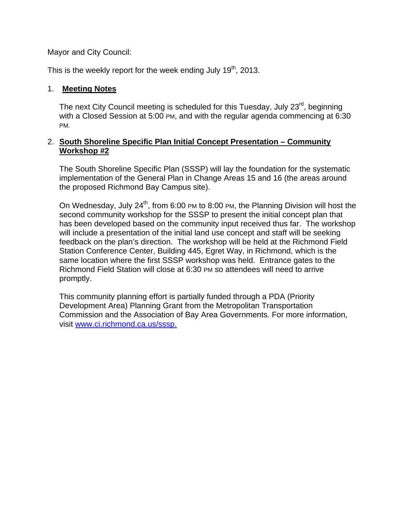Mayor and City Council:

This is the weekly report for the week ending July 19<sup>th</sup>, 2013.

## 1. **Meeting Notes**

The next City Council meeting is scheduled for this Tuesday, July 23<sup>rd</sup>, beginning with a Closed Session at 5:00 PM, and with the regular agenda commencing at 6:30 PM.

### 2. **South Shoreline Specific Plan Initial Concept Presentation – Community Workshop #2**

The South Shoreline Specific Plan (SSSP) will lay the foundation for the systematic implementation of the General Plan in Change Areas 15 and 16 (the areas around the proposed Richmond Bay Campus site).

On Wednesday, July  $24<sup>th</sup>$ , from 6:00 PM to 8:00 PM, the Planning Division will host the second community workshop for the SSSP to present the initial concept plan that has been developed based on the community input received thus far. The workshop will include a presentation of the initial land use concept and staff will be seeking feedback on the plan's direction. The workshop will be held at the Richmond Field Station Conference Center, Building 445, Egret Way, in Richmond, which is the same location where the first SSSP workshop was held. Entrance gates to the Richmond Field Station will close at 6:30 PM so attendees will need to arrive promptly.

This community planning effort is partially funded through a PDA (Priority Development Area) Planning Grant from the Metropolitan Transportation Commission and the Association of Bay Area Governments. For more information, visit www.ci.richmond.ca.us/sssp.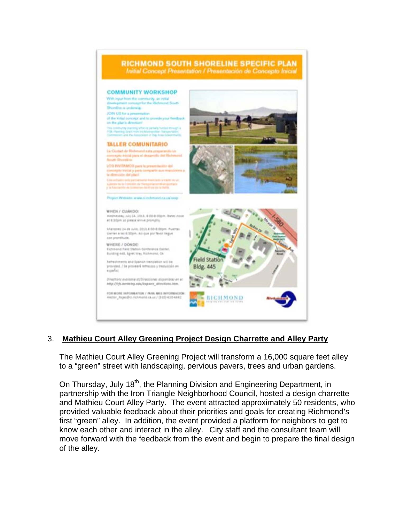

# 3. **Mathieu Court Alley Greening Project Design Charrette and Alley Party**

The Mathieu Court Alley Greening Project will transform a 16,000 square feet alley to a "green" street with landscaping, pervious pavers, trees and urban gardens.

On Thursday, July 18<sup>th</sup>, the Planning Division and Engineering Department, in partnership with the Iron Triangle Neighborhood Council, hosted a design charrette and Mathieu Court Alley Party. The event attracted approximately 50 residents, who provided valuable feedback about their priorities and goals for creating Richmond's first "green" alley. In addition, the event provided a platform for neighbors to get to know each other and interact in the alley. City staff and the consultant team will move forward with the feedback from the event and begin to prepare the final design of the alley.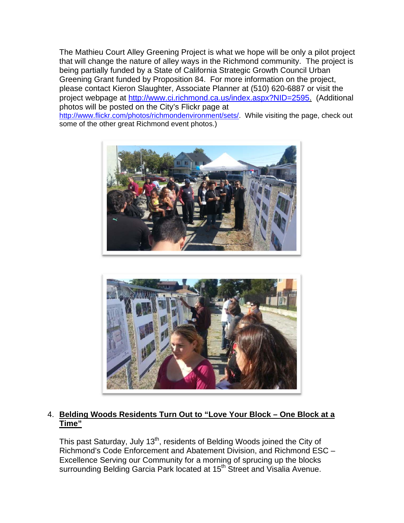The Mathieu Court Alley Greening Project is what we hope will be only a pilot project that will change the nature of alley ways in the Richmond community. The project is being partially funded by a State of California Strategic Growth Council Urban Greening Grant funded by Proposition 84. For more information on the project, please contact Kieron Slaughter, Associate Planner at (510) 620-6887 or visit the project webpage at http://www.ci.richmond.ca.us/index.aspx?NID=2595. (Additional photos will be posted on the City's Flickr page at

http://www.flickr.com/photos/richmondenvironment/sets/. While visiting the page, check out some of the other great Richmond event photos.)





## 4. **Belding Woods Residents Turn Out to "Love Your Block – One Block at a Time"**

This past Saturday, July 13<sup>th</sup>, residents of Belding Woods joined the City of Richmond's Code Enforcement and Abatement Division, and Richmond ESC – Excellence Serving our Community for a morning of sprucing up the blocks surrounding Belding Garcia Park located at 15<sup>th</sup> Street and Visalia Avenue.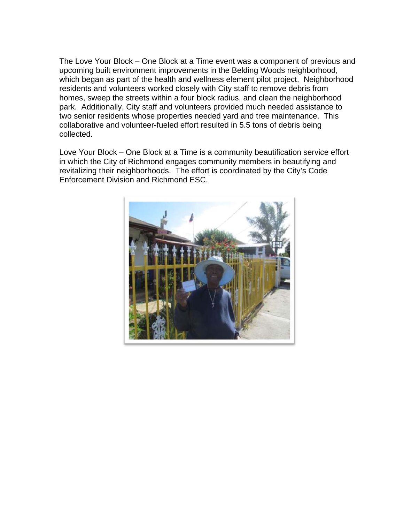The Love Your Block – One Block at a Time event was a component of previous and upcoming built environment improvements in the Belding Woods neighborhood, which began as part of the health and wellness element pilot project. Neighborhood residents and volunteers worked closely with City staff to remove debris from homes, sweep the streets within a four block radius, and clean the neighborhood park. Additionally, City staff and volunteers provided much needed assistance to two senior residents whose properties needed yard and tree maintenance. This collaborative and volunteer-fueled effort resulted in 5.5 tons of debris being collected.

Love Your Block – One Block at a Time is a community beautification service effort in which the City of Richmond engages community members in beautifying and revitalizing their neighborhoods. The effort is coordinated by the City's Code Enforcement Division and Richmond ESC.

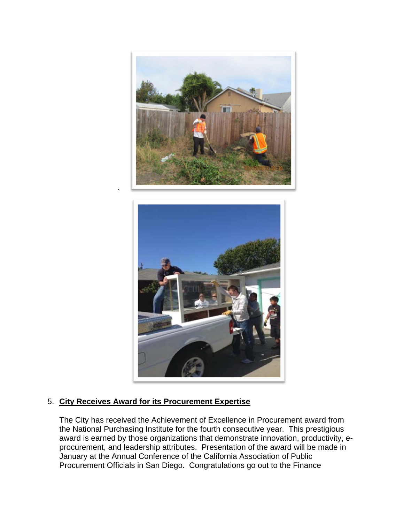



## 5. **City Receives Award for its Procurement Expertise**

`

The City has received the Achievement of Excellence in Procurement award from the National Purchasing Institute for the fourth consecutive year. This prestigious award is earned by those organizations that demonstrate innovation, productivity, eprocurement, and leadership attributes. Presentation of the award will be made in January at the Annual Conference of the California Association of Public Procurement Officials in San Diego. Congratulations go out to the Finance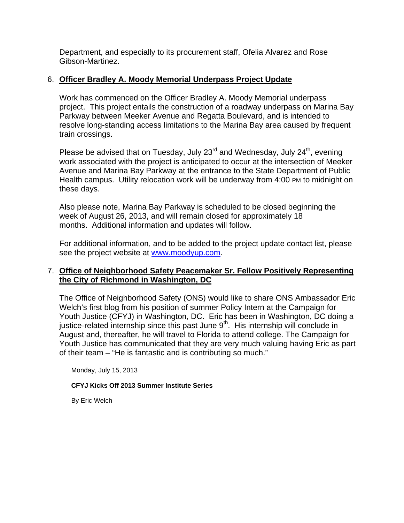Department, and especially to its procurement staff, Ofelia Alvarez and Rose Gibson-Martinez.

### 6. **Officer Bradley A. Moody Memorial Underpass Project Update**

Work has commenced on the Officer Bradley A. Moody Memorial underpass project. This project entails the construction of a roadway underpass on Marina Bay Parkway between Meeker Avenue and Regatta Boulevard, and is intended to resolve long-standing access limitations to the Marina Bay area caused by frequent train crossings.

Please be advised that on Tuesday, July  $23^{\text{rd}}$  and Wednesday, July  $24^{\text{th}}$ , evening work associated with the project is anticipated to occur at the intersection of Meeker Avenue and Marina Bay Parkway at the entrance to the State Department of Public Health campus. Utility relocation work will be underway from 4:00 PM to midnight on these days.

Also please note, Marina Bay Parkway is scheduled to be closed beginning the week of August 26, 2013, and will remain closed for approximately 18 months. Additional information and updates will follow.

For additional information, and to be added to the project update contact list, please see the project website at www.moodyup.com.

## 7. **Office of Neighborhood Safety Peacemaker Sr. Fellow Positively Representing the City of Richmond in Washington, DC**

The Office of Neighborhood Safety (ONS) would like to share ONS Ambassador Eric Welch's first blog from his position of summer Policy Intern at the Campaign for Youth Justice (CFYJ) in Washington, DC. Eric has been in Washington, DC doing a justice-related internship since this past June 9<sup>th</sup>. His internship will conclude in August and, thereafter, he will travel to Florida to attend college. The Campaign for Youth Justice has communicated that they are very much valuing having Eric as part of their team – "He is fantastic and is contributing so much."

Monday, July 15, 2013

#### **CFYJ Kicks Off 2013 Summer Institute Series**

By Eric Welch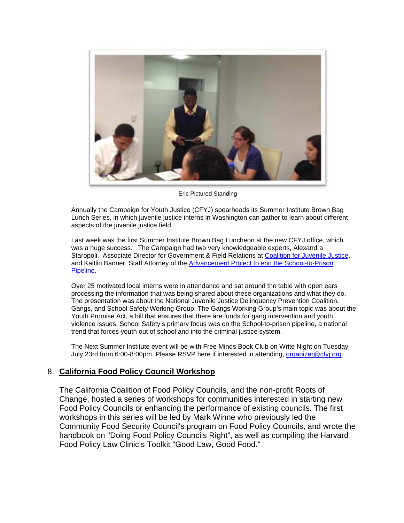

Eric Pictured Standing

Annually the Campaign for Youth Justice (CFYJ) spearheads its Summer Institute Brown Bag Lunch Series, in which juvenile justice interns in Washington can gather to learn about different aspects of the juvenile justice field.

Last week was the first Summer Institute Brown Bag Luncheon at the new CFYJ office, which was a huge success. The Campaign had two very knowledgeable experts, Alexandra Staropoli. Associate Director for Government & Field Relations at Coalition for Juvenile Justice, and Kaitlin Banner, Staff Attorney of the Advancement Project to end the School-to-Prison Pipeline.

Over 25 motivated local interns were in attendance and sat around the table with open ears processing the information that was being shared about these organizations and what they do. The presentation was about the National Juvenile Justice Delinquency Prevention Coalition, Gangs, and School Safety Working Group. The Gangs Working Group's main topic was about the Youth Promise Act, a bill that ensures that there are funds for gang intervention and youth violence issues. School Safety's primary focus was on the School-to-prison pipeline, a national trend that forces youth out of school and into the criminal justice system.

The Next Summer Institute event will be with Free Minds Book Club on Write Night on Tuesday July 23rd from 6:00-8:00pm. Please RSVP here if interested in attending, organizer@cfyj.org.

### 8. **California Food Policy Council Workshop**

The California Coalition of Food Policy Councils, and the non-profit Roots of Change, hosted a series of workshops for communities interested in starting new Food Policy Councils or enhancing the performance of existing councils. The first workshops in this series will be led by Mark Winne who previously led the Community Food Security Council's program on Food Policy Councils, and wrote the handbook on "Doing Food Policy Councils Right", as well as compiling the Harvard Food Policy Law Clinic's Toolkit "Good Law, Good Food."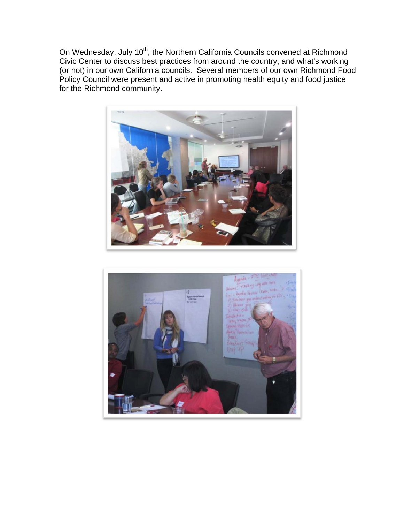On Wednesday, July 10<sup>th</sup>, the Northern California Councils convened at Richmond Civic Center to discuss best practices from around the country, and what's working (or not) in our own California councils. Several members of our own Richmond Food Policy Council were present and active in promoting health equity and food justice for the Richmond community.



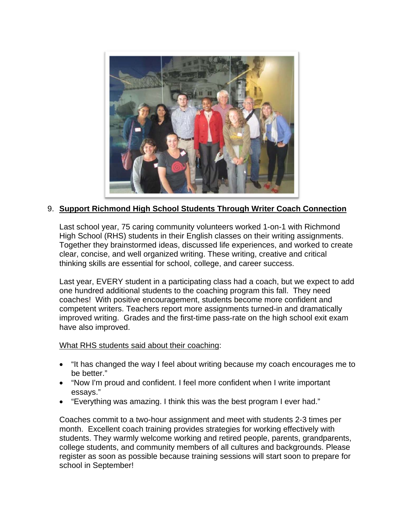

## 9. **Support Richmond High School Students Through Writer Coach Connection**

Last school year, 75 caring community volunteers worked 1-on-1 with Richmond High School (RHS) students in their English classes on their writing assignments. Together they brainstormed ideas, discussed life experiences, and worked to create clear, concise, and well organized writing. These writing, creative and critical thinking skills are essential for school, college, and career success.

Last year, EVERY student in a participating class had a coach, but we expect to add one hundred additional students to the coaching program this fall. They need coaches! With positive encouragement, students become more confident and competent writers. Teachers report more assignments turned-in and dramatically improved writing. Grades and the first-time pass-rate on the high school exit exam have also improved.

What RHS students said about their coaching:

- "It has changed the way I feel about writing because my coach encourages me to be better."
- "Now I'm proud and confident. I feel more confident when I write important essays."
- "Everything was amazing. I think this was the best program I ever had."

Coaches commit to a two-hour assignment and meet with students 2-3 times per month. Excellent coach training provides strategies for working effectively with students. They warmly welcome working and retired people, parents, grandparents, college students, and community members of all cultures and backgrounds. Please register as soon as possible because training sessions will start soon to prepare for school in September!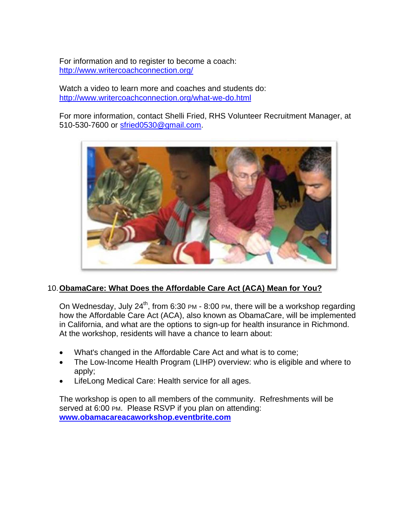For information and to register to become a coach: http://www.writercoachconnection.org/

Watch a video to learn more and coaches and students do: http://www.writercoachconnection.org/what-we-do.html

For more information, contact Shelli Fried, RHS Volunteer Recruitment Manager, at 510-530-7600 or sfried0530@gmail.com.



# 10. **ObamaCare: What Does the Affordable Care Act (ACA) Mean for You?**

On Wednesday, July  $24^{th}$ , from 6:30 PM - 8:00 PM, there will be a workshop regarding how the Affordable Care Act (ACA), also known as ObamaCare, will be implemented in California, and what are the options to sign-up for health insurance in Richmond. At the workshop, residents will have a chance to learn about:

- What's changed in the Affordable Care Act and what is to come;
- The Low-Income Health Program (LIHP) overview: who is eligible and where to apply;
- LifeLong Medical Care: Health service for all ages.

The workshop is open to all members of the community. Refreshments will be served at 6:00 PM. Please RSVP if you plan on attending: **www.obamacareacaworkshop.eventbrite.com**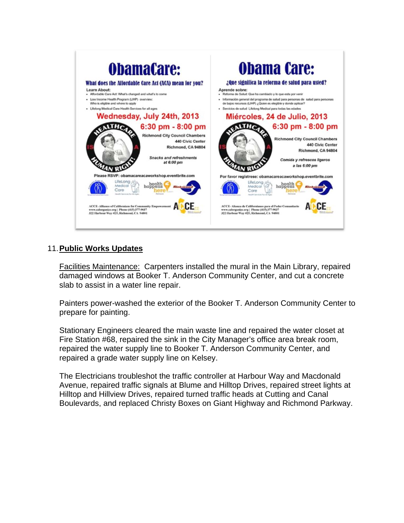

## 11. **Public Works Updates**

Facilities Maintenance: Carpenters installed the mural in the Main Library, repaired damaged windows at Booker T. Anderson Community Center, and cut a concrete slab to assist in a water line repair.

Painters power-washed the exterior of the Booker T. Anderson Community Center to prepare for painting.

Stationary Engineers cleared the main waste line and repaired the water closet at Fire Station #68, repaired the sink in the City Manager's office area break room, repaired the water supply line to Booker T. Anderson Community Center, and repaired a grade water supply line on Kelsey.

The Electricians troubleshot the traffic controller at Harbour Way and Macdonald Avenue, repaired traffic signals at Blume and Hilltop Drives, repaired street lights at Hilltop and Hillview Drives, repaired turned traffic heads at Cutting and Canal Boulevards, and replaced Christy Boxes on Giant Highway and Richmond Parkway.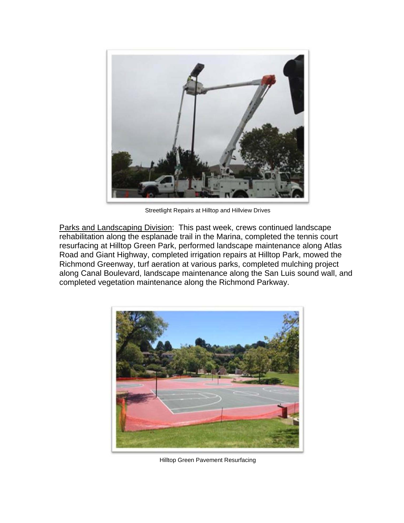

Streetlight Repairs at Hilltop and Hillview Drives

Parks and Landscaping Division: This past week, crews continued landscape rehabilitation along the esplanade trail in the Marina, completed the tennis court resurfacing at Hilltop Green Park, performed landscape maintenance along Atlas Road and Giant Highway, completed irrigation repairs at Hilltop Park, mowed the Richmond Greenway, turf aeration at various parks, completed mulching project along Canal Boulevard, landscape maintenance along the San Luis sound wall, and completed vegetation maintenance along the Richmond Parkway.



Hilltop Green Pavement Resurfacing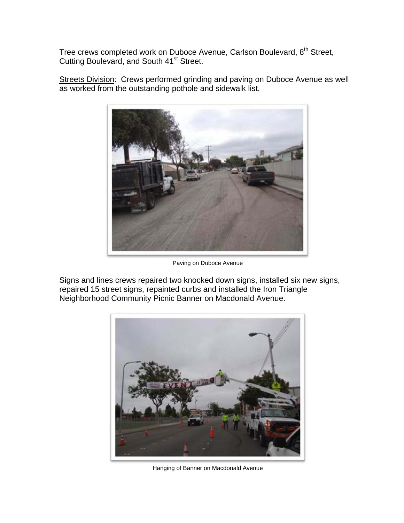Tree crews completed work on Duboce Avenue, Carlson Boulevard, 8<sup>th</sup> Street, Cutting Boulevard, and South 41<sup>st</sup> Street.

Streets Division: Crews performed grinding and paving on Duboce Avenue as well as worked from the outstanding pothole and sidewalk list.



Paving on Duboce Avenue

Signs and lines crews repaired two knocked down signs, installed six new signs, repaired 15 street signs, repainted curbs and installed the Iron Triangle Neighborhood Community Picnic Banner on Macdonald Avenue.



Hanging of Banner on Macdonald Avenue